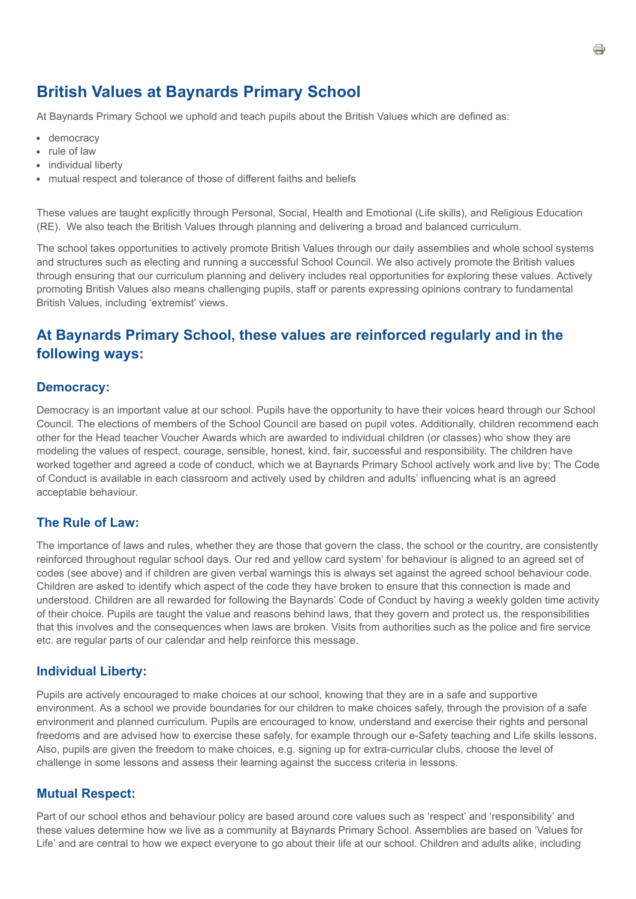# **British Values at Baynards Primary School**

At Baynards Primary School we uphold and teach pupils about the British Values which are defined as:

- democracy
- rule of law
- individual liberty
- mutual respect and tolerance of those of different faiths and beliefs

These values are taught explicitly through Personal, Social, Health and Emotional (Life skills), and Religious Education (RE). We also teach the British Values through planning and delivering a broad and balanced curriculum.

The school takes opportunities to actively promote British Values through our daily assemblies and whole school systems and structures such as electing and running a successful School Council. We also actively promote the British values through ensuring that our curriculum planning and delivery includes real opportunities for exploring these values. Actively promoting British Values also means challenging pupils, staff or parents expressing opinions contrary to fundamental British Values, including 'extremist' views.

## **At Baynards Primary School, these values are reinforced regularly and in the following ways:**

#### **Democracy:**

Democracy is an important value at our school. Pupils have the opportunity to have their voices heard through our School Council. The elections of members of the School Council are based on pupil votes. Additionally, children recommend each other for the Head teacher Voucher Awards which are awarded to individual children (or classes) who show they are modeling the values of respect, courage, sensible, honest, kind, fair, successful and responsibility. The children have worked together and agreed a code of conduct, which we at Baynards Primary School actively work and live by; The Code of Conduct is available in each classroom and actively used by children and adults' influencing what is an agreed acceptable behaviour.

## **The Rule of Law:**

The importance of laws and rules, whether they are those that govern the class, the school or the country, are consistently reinforced throughout regular school days. Our red and yellow card system' for behaviour is aligned to an agreed set of codes (see above) and if children are given verbal warnings this is always set against the agreed school behaviour code. Children are asked to identify which aspect of the code they have broken to ensure that this connection is made and understood. Children are all rewarded for following the Baynards' Code of Conduct by having a weekly golden time activity of their choice. Pupils are taught the value and reasons behind laws, that they govern and protect us, the responsibilities that this involves and the consequences when laws are broken. Visits from authorities such as the police and fire service etc. are regular parts of our calendar and help reinforce this message.

#### **Individual Liberty:**

Pupils are actively encouraged to make choices at our school, knowing that they are in a safe and supportive environment. As a school we provide boundaries for our children to make choices safely, through the provision of a safe environment and planned curriculum. Pupils are encouraged to know, understand and exercise their rights and personal freedoms and are advised how to exercise these safely, for example through our e-Safety teaching and Life skills lessons. Also, pupils are given the freedom to make choices, e.g. signing up for extra-curricular clubs, choose the level of challenge in some lessons and assess their learning against the success criteria in lessons.

#### **Mutual Respect:**

Part of our school ethos and behaviour policy are based around core values such as 'respect' and 'responsibility' and these values determine how we live as a community at Baynards Primary School. Assemblies are based on 'Values for Life' and are central to how we expect everyone to go about their life at our school. Children and adults alike, including